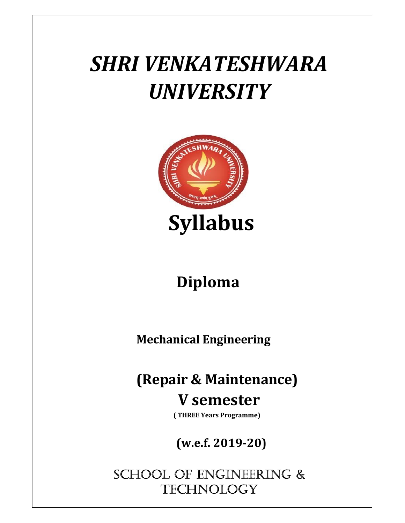## SHRI VENKATESHWARA **UNIVERSITY**



## Diploma

Mechanical Engineering

## (Repair & Maintenance)

## V semester

( THREE Years Programme)

(w.e.f. 2019-20)

SCHOOL OF ENGINEERING & **TECHNOLOGY**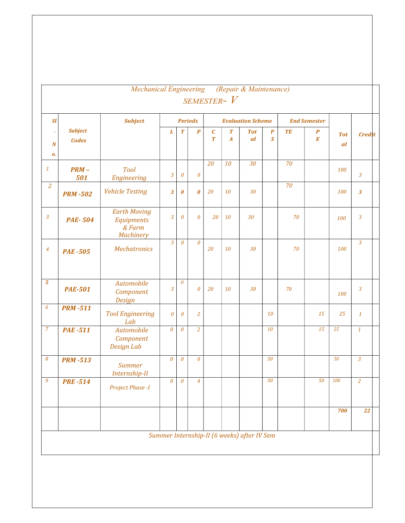| SI                                   |                                | <b>Subject</b>                                                         | <b>Periods</b>        |                       |                       |                                      | <b>Evaluation Scheme</b>             |                                             |                                             |           | <b>End Semester</b>   |                  |                         |
|--------------------------------------|--------------------------------|------------------------------------------------------------------------|-----------------------|-----------------------|-----------------------|--------------------------------------|--------------------------------------|---------------------------------------------|---------------------------------------------|-----------|-----------------------|------------------|-------------------------|
| $\epsilon$<br>$\boldsymbol{N}$<br>0. | <b>Subject</b><br><b>Codes</b> |                                                                        | L                     | $\boldsymbol{T}$      | $\boldsymbol{P}$      | $\boldsymbol{C}$<br>$\boldsymbol{T}$ | $\boldsymbol{T}$<br>$\boldsymbol{A}$ | <b>Tot</b><br><i>al</i>                     | $\boldsymbol{P}$<br>$\overline{\mathbf{S}}$ | <b>TE</b> | $\boldsymbol{P}$<br>E | <b>Tot</b><br>al | <b>Credit</b>           |
| $\it 1$                              | $PRM -$<br>501                 | <b>Tool</b><br>Engineering                                             | 3                     | $\boldsymbol{\theta}$ | $\theta$              | 20                                   | 10                                   | 30                                          |                                             | 70        |                       | 100              | $\overline{3}$          |
| $\overline{a}$                       | <b>PRM-502</b>                 | <b>Vehicle Testing</b>                                                 | 3                     | $\boldsymbol{\theta}$ | $\boldsymbol{\theta}$ | 20                                   | 10                                   | 30                                          |                                             | 70        |                       | 100              | $\overline{\mathbf{3}}$ |
| $\mathfrak{Z}$                       | <b>PAE-504</b>                 | <b>Earth Moving</b><br><b>Equipments</b><br>& Farm<br><b>Machinery</b> | $\overline{3}$        | $\theta$              | $\boldsymbol{\theta}$ | 20                                   | 10                                   | 30                                          |                                             | 70        |                       | 100              | $\mathfrak{Z}$          |
| $\overline{4}$                       | <b>PAE -505</b>                | <b>Mechatronics</b>                                                    | $\overline{3}$        | $\theta$              | $\theta$              | 20                                   | 10                                   | 30                                          |                                             | 70        |                       | 100              | $\overline{3}$          |
| $\overline{5}$                       | <b>PAE-501</b>                 | Automobile<br>Component<br><b>Design</b>                               | $\mathfrak{Z}$        | $\theta$              | $\boldsymbol{\theta}$ | 20                                   | 10                                   | 30                                          |                                             | 70        |                       | 100              | $\overline{3}$          |
| 6                                    | <b>PRM-511</b>                 | <b>Tool Engineering</b><br>Lab                                         | $\boldsymbol{\theta}$ | $\boldsymbol{\theta}$ | $\overline{a}$        |                                      |                                      |                                             | 10                                          |           | 15                    | 25               | $\mathbf{1}$            |
| $\overline{7}$                       | <b>PAE -511</b>                | Automobile<br>Component<br>Design Lab                                  | $\theta$              | $\theta$              | $\overline{a}$        |                                      |                                      |                                             | 10                                          |           | 15                    | 25               | $\mathbf{1}$            |
| 8                                    | <b>PRM-513</b>                 | <b>Summer</b><br>Internship-II                                         | $\boldsymbol{\theta}$ | $\boldsymbol{\theta}$ | $\boldsymbol{\theta}$ |                                      |                                      |                                             | 50                                          |           |                       | 50               | $\overline{3}$          |
| $\overline{9}$                       | <b>PRE-514</b>                 | Project Phase -I                                                       |                       | $0 \mid 0 \mid$       | $\overline{4}$        |                                      |                                      |                                             | 50                                          |           | 50                    | 100              | $\overline{2}$          |
|                                      |                                |                                                                        |                       |                       |                       |                                      |                                      |                                             |                                             |           |                       | 700              | 22                      |
|                                      |                                |                                                                        |                       |                       |                       |                                      |                                      | Summer Internship-II (6 weeks) after IV Sem |                                             |           |                       |                  |                         |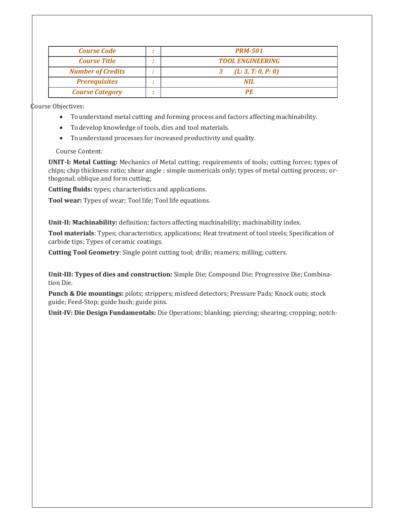| <b>Course Code</b>       | <b>PRM-501</b>          |
|--------------------------|-------------------------|
| <b>Course Title</b>      | <b>TOOL ENGINEERING</b> |
| <b>Number of Credits</b> | (L: 3, T: 0, P: 0)      |
| <b>Prerequisites</b>     | NH.                     |
| <b>Course Category</b>   | РF                      |

Course Objectives:

- To understand metal cutting and forming process and factors affecting machinability.
- To develop knowledge of tools, dies and tool materials.
- To understand processes for increased productivity and quality.

Course Content:

UNIT-I: Metal Cutting: Mechanics of Metal cutting; requirements of tools; cutting forces; types of chips; chip thickness ratio; shear angle ; simple numericals only; types of metal cutting process; orthogonal; oblique and form cutting;

Cutting fluids: types; characteristics and applications.

Tool wear: Types of wear; Tool life; Tool life equations.

Unit-II: Machinability: definition; factors affecting machinability; machinability index.

Tool materials: Types; characteristics; applications; Heat treatment of tool steels; Specification of carbide tips; Types of ceramic coatings.

Cutting Tool Geometry: Single point cutting tool; drills; reamers; milling; cutters.

Unit-III: Types of dies and construction: Simple Die; Compound Die; Progressive Die; Combination Die.

Punch & Die mountings: pilots; strippers; misfeed detectors; Pressure Pads; Knock outs; stock guide; Feed-Stop; guide bush; guide pins.

Unit-IV: Die Design Fundamentals: Die Operations; blanking; piercing; shearing; cropping; notch-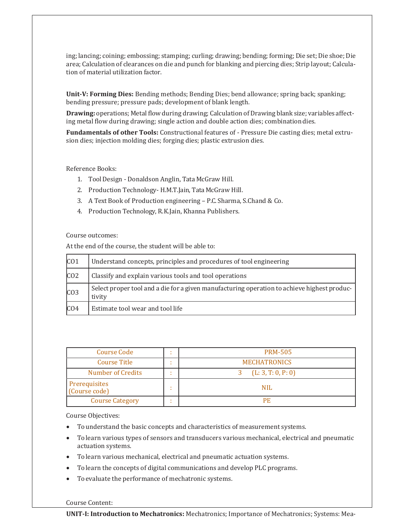ing; lancing; coining; embossing; stamping; curling; drawing; bending; forming; Die set; Die shoe; Die area; Calculation of clearances on die and punch for blanking and piercing dies; Strip layout; Calculation of material utilization factor.

Unit-V: Forming Dies: Bending methods; Bending Dies; bend allowance; spring back; spanking; bending pressure; pressure pads; development of blank length.

Drawing: operations; Metal flow during drawing; Calculation of Drawing blank size; variables affecting metal flow during drawing; single action and double action dies; combination dies.

Fundamentals of other Tools: Constructional features of - Pressure Die casting dies; metal extrusion dies; injection molding dies; forging dies; plastic extrusion dies.

Reference Books:

- 1. Tool Design Donaldson Anglin, Tata McGraw Hill.
- 2. Production Technology- H.M.T.Jain, Tata McGraw Hill.
- 3. A Text Book of Production engineering P.C. Sharma, S.Chand & Co.
- 4. Production Technology, R.K.Jain, Khanna Publishers.

Course outcomes:

At the end of the course, the student will be able to:

| CO1              | Understand concepts, principles and procedures of tool engineering                                    |
|------------------|-------------------------------------------------------------------------------------------------------|
| CO <sub>2</sub>  | Classify and explain various tools and tool operations                                                |
| CO <sub>3</sub>  | Select proper tool and a die for a given manufacturing operation to achieve highest produc-<br>tivity |
| ICO <sub>4</sub> | Estimate tool wear and tool life                                                                      |

| <b>Course Code</b>             | ٠ | <b>PRM-505</b>      |
|--------------------------------|---|---------------------|
| Course Title                   | ٠ | <b>MECHATRONICS</b> |
| Number of Credits              | ٠ | (L: 3, T: 0, P: 0)  |
| Prerequisites<br>(Course code) |   | <b>NIL</b>          |
| <b>Course Category</b>         |   | РF                  |

Course Objectives:

- To understand the basic concepts and characteristics of measurement systems.
- To learn various types of sensors and transducers various mechanical, electrical and pneumatic actuation systems.
- To learn various mechanical, electrical and pneumatic actuation systems.
- To learn the concepts of digital communications and develop PLC programs.
- To evaluate the performance of mechatronic systems.

Course Content:

UNIT-I: Introduction to Mechatronics: Mechatronics; Importance of Mechatronics; Systems: Mea-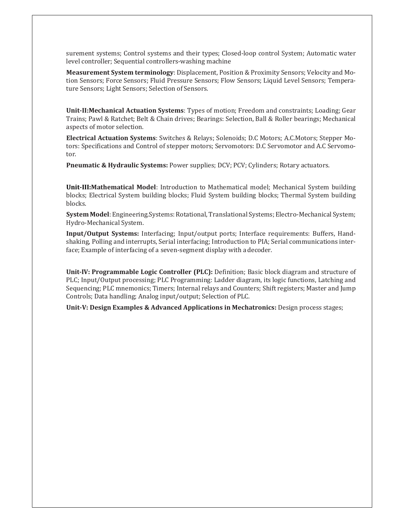surement systems; Control systems and their types; Closed-loop control System; Automatic water level controller; Sequential controllers-washing machine

Measurement System terminology: Displacement, Position & Proximity Sensors; Velocity and Motion Sensors; Force Sensors; Fluid Pressure Sensors; Flow Sensors; Liquid Level Sensors; Temperature Sensors; Light Sensors; Selection of Sensors.

Unit-II:Mechanical Actuation Systems: Types of motion; Freedom and constraints; Loading; Gear Trains; Pawl & Ratchet; Belt & Chain drives; Bearings: Selection, Ball & Roller bearings; Mechanical aspects of motor selection.

Electrical Actuation Systems: Switches & Relays; Solenoids; D.C Motors; A.C.Motors; Stepper Motors: Specifications and Control of stepper motors; Servomotors: D.C Servomotor and A.C Servomotor.

Pneumatic & Hydraulic Systems: Power supplies; DCV; PCV; Cylinders; Rotary actuators.

Unit-III:Mathematical Model: Introduction to Mathematical model; Mechanical System building blocks; Electrical System building blocks; Fluid System building blocks; Thermal System building blocks.

System Model: Engineering.Systems: Rotational, Translational Systems; Electro-Mechanical System; Hydro-Mechanical System.

Input/Output Systems: Interfacing; Input/output ports; Interface requirements: Buffers, Handshaking, Polling and interrupts, Serial interfacing; Introduction to PIA; Serial communications interface; Example of interfacing of a seven-segment display with a decoder.

Unit-IV: Programmable Logic Controller (PLC): Definition; Basic block diagram and structure of PLC; Input/Output processing; PLC Programming: Ladder diagram, its logic functions, Latching and Sequencing; PLC mnemonics; Timers; Internal relays and Counters; Shift registers; Master and Jump Controls; Data handling; Analog input/output; Selection of PLC.

Unit-V: Design Examples & Advanced Applications in Mechatronics: Design process stages;